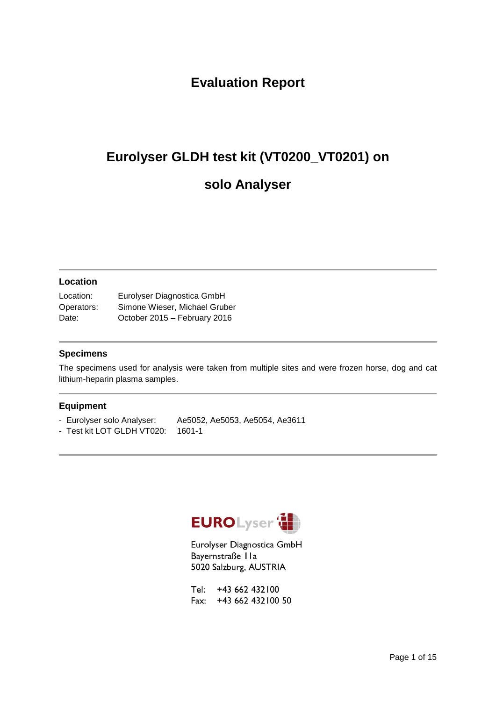### **Evaluation Report**

# **Eurolyser GLDH test kit (VT0200\_VT0201) on**

### **solo Analyser**

#### **Location**

| Location:  | Eurolyser Diagnostica GmbH    |  |  |
|------------|-------------------------------|--|--|
| Operators: | Simone Wieser, Michael Gruber |  |  |
| Date:      | October 2015 - February 2016  |  |  |

#### **Specimens**

The specimens used for analysis were taken from multiple sites and were frozen horse, dog and cat lithium-heparin plasma samples.

#### **Equipment**

- Eurolyser solo Analyser: Ae5052, Ae5053, Ae5054, Ae3611
- Test kit LOT GLDH VT020: 1601-1



Eurolyser Diagnostica GmbH Bayernstraße IIa 5020 Salzburg, AUSTRIA

Tel: +43 662 432100 Fax: +43 662 432 100 50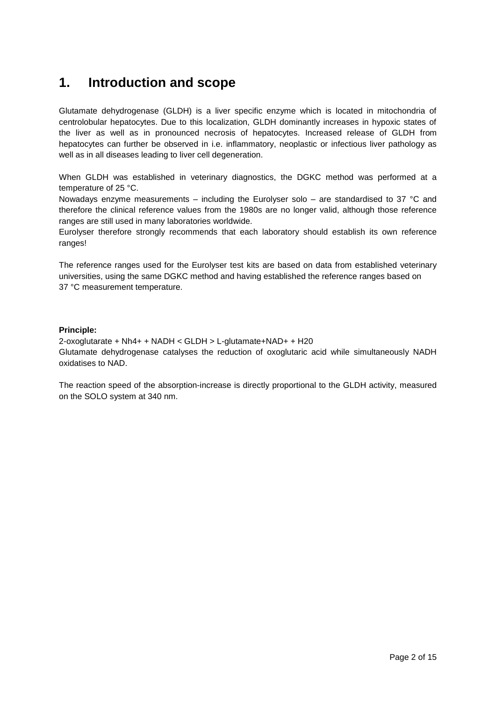### **1. Introduction and scope**

Glutamate dehydrogenase (GLDH) is a liver specific enzyme which is located in mitochondria of centrolobular hepatocytes. Due to this localization, GLDH dominantly increases in hypoxic states of the liver as well as in pronounced necrosis of hepatocytes. Increased release of GLDH from hepatocytes can further be observed in i.e. inflammatory, neoplastic or infectious liver pathology as well as in all diseases leading to liver cell degeneration.

When GLDH was established in veterinary diagnostics, the DGKC method was performed at a temperature of 25 °C.

Nowadays enzyme measurements – including the Eurolyser solo – are standardised to 37 °C and therefore the clinical reference values from the 1980s are no longer valid, although those reference ranges are still used in many laboratories worldwide.

Eurolyser therefore strongly recommends that each laboratory should establish its own reference ranges!

The reference ranges used for the Eurolyser test kits are based on data from established veterinary universities, using the same DGKC method and having established the reference ranges based on 37 °C measurement temperature.

#### **Principle:**

2-oxoglutarate + Nh4+ + NADH < GLDH > L-glutamate+NAD+ + H20 Glutamate dehydrogenase catalyses the reduction of oxoglutaric acid while simultaneously NADH oxidatises to NAD.

The reaction speed of the absorption-increase is directly proportional to the GLDH activity, measured on the SOLO system at 340 nm.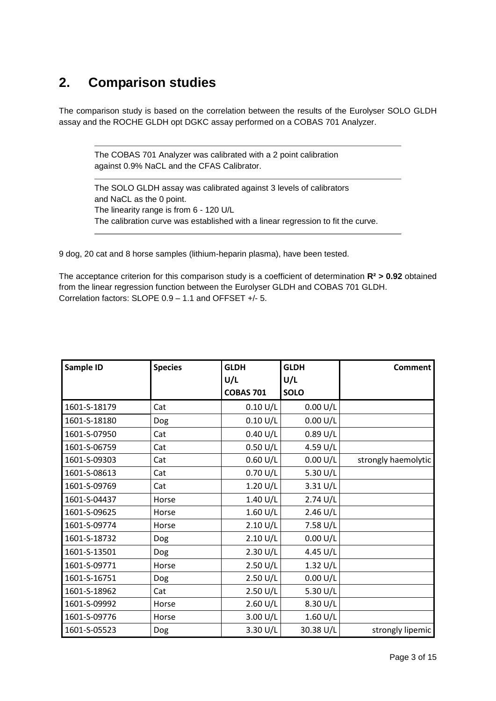### **2. Comparison studies**

The comparison study is based on the correlation between the results of the Eurolyser SOLO GLDH assay and the ROCHE GLDH opt DGKC assay performed on a COBAS 701 Analyzer.

The COBAS 701 Analyzer was calibrated with a 2 point calibration against 0.9% NaCL and the CFAS Calibrator.

The SOLO GLDH assay was calibrated against 3 levels of calibrators and NaCL as the 0 point. The linearity range is from 6 - 120 U/L The calibration curve was established with a linear regression to fit the curve.

9 dog, 20 cat and 8 horse samples (lithium-heparin plasma), have been tested.

The acceptance criterion for this comparison study is a coefficient of determination **R² > 0.92** obtained from the linear regression function between the Eurolyser GLDH and COBAS 701 GLDH. Correlation factors: SLOPE 0.9 – 1.1 and OFFSET +/- 5.

| Sample ID    | <b>Species</b> | <b>GLDH</b>        | <b>GLDH</b>        | <b>Comment</b>      |
|--------------|----------------|--------------------|--------------------|---------------------|
|              |                | U/L                | U/L                |                     |
|              |                | <b>COBAS 701</b>   | <b>SOLO</b>        |                     |
| 1601-S-18179 | Cat            | 0.10 U/L           | 0.00 U/L           |                     |
| 1601-S-18180 | Dog            | 0.10 U/L           | 0.00 U/L           |                     |
| 1601-S-07950 | Cat            | 0.40 U/L           | $0.89$ U/L         |                     |
| 1601-S-06759 | Cat            | $0.50$ U/L         | 4.59 U/L           |                     |
| 1601-S-09303 | Cat            | 0.60 U/L           | 0.00 U/L           | strongly haemolytic |
| 1601-S-08613 | Cat            | 0.70 U/L           | 5.30 U/L           |                     |
| 1601-S-09769 | Cat            | $1.20$ U/L         | 3.31 U/L           |                     |
| 1601-S-04437 | Horse          | 1.40 U/L           | 2.74 U/L           |                     |
| 1601-S-09625 | Horse          | $1.60$ U/L         | $2.46 \text{ U/L}$ |                     |
| 1601-S-09774 | Horse          | 2.10 U/L           | 7.58 U/L           |                     |
| 1601-S-18732 | Dog            | 2.10 U/L           | 0.00 U/L           |                     |
| 1601-S-13501 | Dog            | 2.30 U/L           | 4.45 U/L           |                     |
| 1601-S-09771 | Horse          | $2.50$ U/L         | $1.32$ U/L         |                     |
| 1601-S-16751 | Dog            | $2.50$ U/L         | 0.00 U/L           |                     |
| 1601-S-18962 | Cat            | 2.50 U/L           | 5.30 U/L           |                     |
| 1601-S-09992 | Horse          | $2.60 \text{ U/L}$ | 8.30 U/L           |                     |
| 1601-S-09776 | Horse          | 3.00 U/L           | 1.60 $U/L$         |                     |
| 1601-S-05523 | Dog            | 3.30 U/L           | 30.38 U/L          | strongly lipemic    |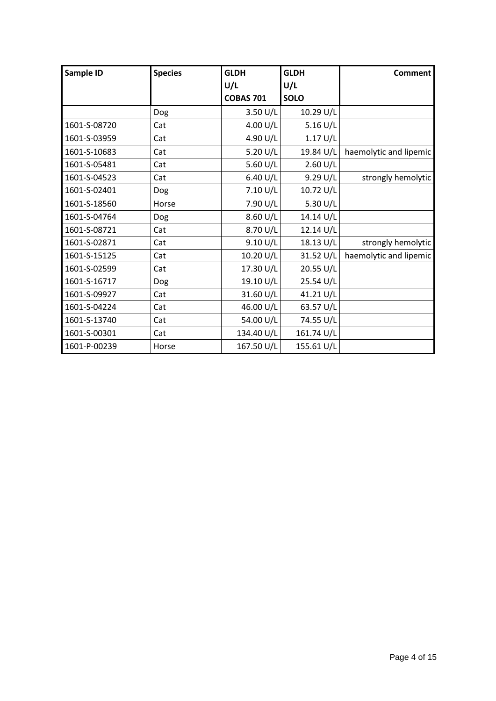| Sample ID    | <b>Species</b> | <b>GLDH</b>      | <b>GLDH</b>        | <b>Comment</b>         |
|--------------|----------------|------------------|--------------------|------------------------|
|              |                | U/L              | U/L                |                        |
|              |                | <b>COBAS 701</b> | <b>SOLO</b>        |                        |
|              | Dog            | $3.50$ U/L       | 10.29 U/L          |                        |
| 1601-S-08720 | Cat            | 4.00 U/L         | 5.16 U/L           |                        |
| 1601-S-03959 | Cat            | 4.90 U/L         | 1.17 U/L           |                        |
| 1601-S-10683 | Cat            | 5.20 $U/L$       | 19.84 U/L          | haemolytic and lipemic |
| 1601-S-05481 | Cat            | 5.60 $U/L$       | $2.60 \text{ U/L}$ |                        |
| 1601-S-04523 | Cat            | 6.40 U/L         | 9.29 U/L           | strongly hemolytic     |
| 1601-S-02401 | Dog            | 7.10 U/L         | 10.72 U/L          |                        |
| 1601-S-18560 | Horse          | 7.90 U/L         | 5.30 U/L           |                        |
| 1601-S-04764 | Dog            | 8.60 U/L         | 14.14 U/L          |                        |
| 1601-S-08721 | Cat            | 8.70 U/L         | 12.14 U/L          |                        |
| 1601-S-02871 | Cat            | 9.10 U/L         | 18.13 U/L          | strongly hemolytic     |
| 1601-S-15125 | Cat            | 10.20 U/L        | 31.52 U/L          | haemolytic and lipemic |
| 1601-S-02599 | Cat            | 17.30 U/L        | 20.55 U/L          |                        |
| 1601-S-16717 | Dog            | 19.10 U/L        | 25.54 U/L          |                        |
| 1601-S-09927 | Cat            | 31.60 U/L        | 41.21 U/L          |                        |
| 1601-S-04224 | Cat            | 46.00 U/L        | 63.57 U/L          |                        |
| 1601-S-13740 | Cat            | 54.00 U/L        | 74.55 U/L          |                        |
| 1601-S-00301 | Cat            | 134.40 U/L       | 161.74 U/L         |                        |
| 1601-P-00239 | Horse          | 167.50 U/L       | 155.61 U/L         |                        |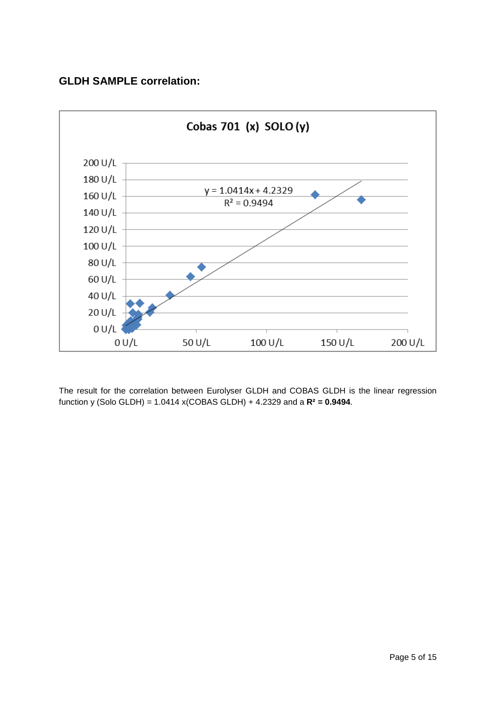### **GLDH SAMPLE correlation:**



The result for the correlation between Eurolyser GLDH and COBAS GLDH is the linear regression function y (Solo GLDH) = 1.0414 x(COBAS GLDH) + 4.2329 and a **R² = 0.9494**.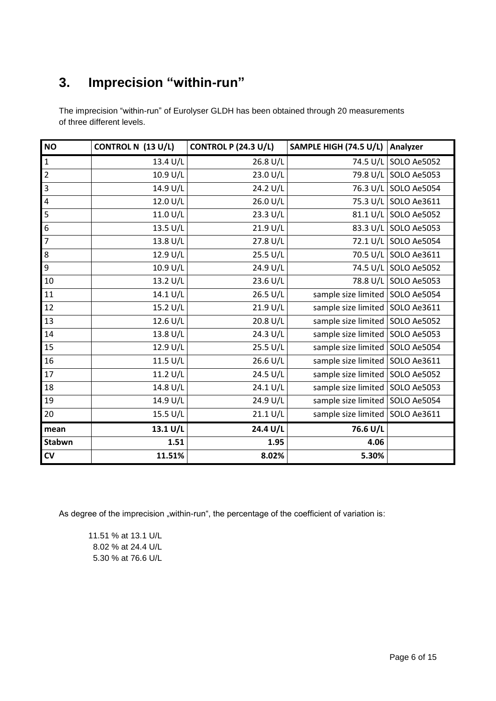## **3. Imprecision "within-run"**

The imprecision "within-run" of Eurolyser GLDH has been obtained through 20 measurements of three different levels.

| <b>NO</b>        | CONTROL N (13 U/L) | <b>CONTROL P (24.3 U/L)</b> | SAMPLE HIGH (74.5 U/L)            | Analyzer             |
|------------------|--------------------|-----------------------------|-----------------------------------|----------------------|
| $\mathbf{1}$     | 13.4 U/L           | 26.8 U/L                    |                                   | 74.5 U/L SOLO Ae5052 |
| $\overline{2}$   | 10.9 U/L           | 23.0 U/L                    |                                   | 79.8 U/L SOLO Ae5053 |
| $\overline{3}$   | 14.9 U/L           | 24.2 U/L                    |                                   | 76.3 U/L SOLO Ae5054 |
| $\overline{4}$   | 12.0 U/L           | 26.0 U/L                    |                                   | 75.3 U/L SOLO Ae3611 |
| $\overline{5}$   | 11.0 U/L           | 23.3 U/L                    |                                   | 81.1 U/L SOLO Ae5052 |
| $\boldsymbol{6}$ | 13.5 U/L           | 21.9 U/L                    |                                   | 83.3 U/L SOLO Ae5053 |
| $\overline{7}$   | 13.8 U/L           | 27.8 U/L                    |                                   | 72.1 U/L SOLO Ae5054 |
| $\overline{8}$   | 12.9 U/L           | 25.5 U/L                    |                                   | 70.5 U/L SOLO Ae3611 |
| $\overline{9}$   | 10.9 U/L           | 24.9 U/L                    |                                   | 74.5 U/L SOLO Ae5052 |
| 10               | 13.2 U/L           | 23.6 U/L                    |                                   | 78.8 U/L SOLO Ae5053 |
| $\overline{11}$  | 14.1 U/L           | 26.5 U/L                    | sample size limited   SOLO Ae5054 |                      |
| 12               | 15.2 U/L           | 21.9 U/L                    | sample size limited   SOLO Ae3611 |                      |
| 13               | 12.6 U/L           | 20.8 U/L                    | sample size limited   SOLO Ae5052 |                      |
| 14               | 13.8 U/L           | 24.3 U/L                    | sample size limited   SOLO Ae5053 |                      |
| 15               | 12.9 U/L           | 25.5 U/L                    | sample size limited SOLO Ae5054   |                      |
| 16               | 11.5 U/L           | 26.6 U/L                    | sample size limited   SOLO Ae3611 |                      |
| 17               | 11.2 U/L           | 24.5 U/L                    | sample size limited   SOLO Ae5052 |                      |
| 18               | 14.8 U/L           | 24.1 U/L                    | sample size limited   SOLO Ae5053 |                      |
| 19               | 14.9 U/L           | 24.9 U/L                    | sample size limited   SOLO Ae5054 |                      |
| 20               | 15.5 U/L           | 21.1 U/L                    | sample size limited   SOLO Ae3611 |                      |
| mean             | 13.1 U/L           | 24.4 U/L                    | 76.6 U/L                          |                      |
| Stabwn           | 1.51               | 1.95                        | 4.06                              |                      |
| $\mathsf{cv}$    | 11.51%             | 8.02%                       | 5.30%                             |                      |

As degree of the imprecision "within-run", the percentage of the coefficient of variation is:

11.51 % at 13.1 U/L 8.02 % at 24.4 U/L 5.30 % at 76.6 U/L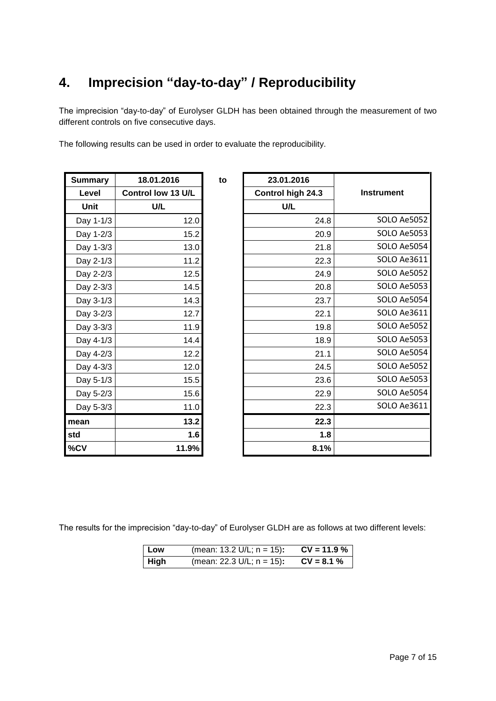## **4. Imprecision "day-to-day" / Reproducibility**

The imprecision "day-to-day" of Eurolyser GLDH has been obtained through the measurement of two different controls on five consecutive days.

The following results can be used in order to evaluate the reproducibility.

| <b>Summary</b> | 18.01.2016         | to | 23.01.2016        |
|----------------|--------------------|----|-------------------|
| Level          | Control low 13 U/L |    | Control high 24.3 |
| Unit           | U/L                |    | U/L               |
| Day 1-1/3      | 12.0               |    | 24.8              |
| Day 1-2/3      | 15.2               |    | 20.9              |
| Day 1-3/3      | 13.0               |    | 21.8              |
| Day 2-1/3      | 11.2               |    | 22.3              |
| Day 2-2/3      | 12.5               |    | 24.9              |
| Day 2-3/3      | 14.5               |    | 20.8              |
| Day 3-1/3      | 14.3               |    | 23.7              |
| Day 3-2/3      | 12.7               |    | 22.1              |
| Day 3-3/3      | 11.9               |    | 19.8              |
| Day 4-1/3      | 14.4               |    | 18.9              |
| Day 4-2/3      | 12.2               |    | 21.1              |
| Day 4-3/3      | 12.0               |    | 24.5              |
| Day 5-1/3      | 15.5               |    | 23.6              |
| Day 5-2/3      | 15.6               |    | 22.9              |
| Day 5-3/3      | 11.0               |    | 22.3              |
| mean           | 13.2               |    | 22.3              |
| std            | 1.6                |    | 1.8               |
| %CV            | 11.9%              |    | 8.1%              |

| ummary      | 18.01.2016         | to | 23.01.2016        |                    |
|-------------|--------------------|----|-------------------|--------------------|
| Level       | Control low 13 U/L |    | Control high 24.3 | <b>Instrument</b>  |
| <b>Unit</b> | U/L                |    | U/L               |                    |
| Day 1-1/3   | 12.0               |    | 24.8              | <b>SOLO Ae5052</b> |
| Day 1-2/3   | 15.2               |    | 20.9              | SOLO Ae5053        |
| Day 1-3/3   | 13.0               |    | 21.8              | SOLO Ae5054        |
| Day 2-1/3   | 11.2               |    | 22.3              | SOLO Ae3611        |
| Day 2-2/3   | 12.5               |    | 24.9              | SOLO Ae5052        |
| Day 2-3/3   | 14.5               |    | 20.8              | SOLO Ae5053        |
| Day 3-1/3   | 14.3               |    | 23.7              | SOLO Ae5054        |
| Day 3-2/3   | 12.7               |    | 22.1              | SOLO Ae3611        |
| Day 3-3/3   | 11.9               |    | 19.8              | SOLO Ae5052        |
| Day 4-1/3   | 14.4               |    | 18.9              | SOLO Ae5053        |
| Day 4-2/3   | 12.2               |    | 21.1              | SOLO Ae5054        |
| Day 4-3/3   | 12.0               |    | 24.5              | SOLO Ae5052        |
| Day 5-1/3   | 15.5               |    | 23.6              | SOLO Ae5053        |
| Day 5-2/3   | 15.6               |    | 22.9              | SOLO Ae5054        |
| Day 5-3/3   | 11.0               |    | 22.3              | SOLO Ae3611        |
| ean         | 13.2               |    | 22.3              |                    |
| d           | 1.6                |    | 1.8               |                    |
| CV          | 11.9%              |    | 8.1%              |                    |

The results for the imprecision "day-to-day" of Eurolyser GLDH are as follows at two different levels:

| Low         | (mean: 13.2 U/L; $n = 15$ ): | $CV = 11.9 %$ |
|-------------|------------------------------|---------------|
| <b>High</b> | (mean: 22.3 U/L; $n = 15$ ): | $CV = 8.1 %$  |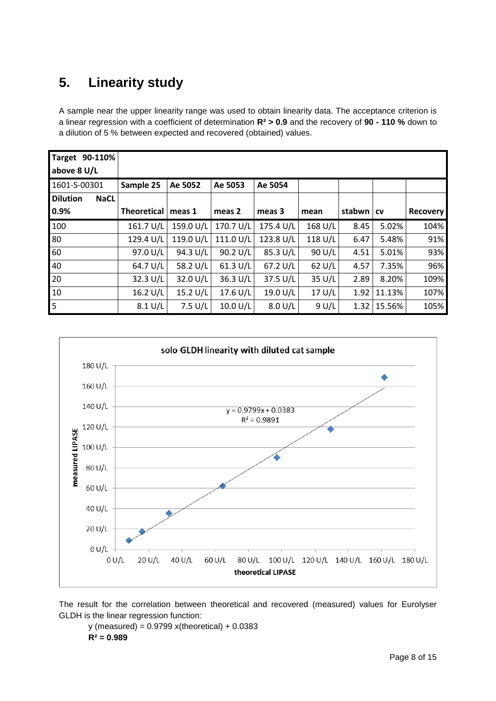## **5. Linearity study**

A sample near the upper linearity range was used to obtain linearity data. The acceptance criterion is a linear regression with a coefficient of determination **R² > 0.9** and the recovery of **90 - 110 %** down to a dilution of 5 % between expected and recovered (obtained) values.

| 90-110%<br><b>Target</b><br>above 8 U/L |                    |           |            |           |         |        |           |                 |
|-----------------------------------------|--------------------|-----------|------------|-----------|---------|--------|-----------|-----------------|
|                                         |                    |           |            |           |         |        |           |                 |
| 1601-S-00301                            | Sample 25          | Ae 5052   | Ae 5053    | Ae 5054   |         |        |           |                 |
| <b>Dilution</b><br><b>NaCL</b>          |                    |           |            |           |         |        |           |                 |
| 0.9%                                    | <b>Theoretical</b> | meas 1    | meas 2     | meas 3    | mean    | stabwn | <b>CV</b> | <b>Recovery</b> |
| 100                                     | 161.7 U/L          | 159.0 U/L | 170.7 U/L  | 175.4 U/L | 168 U/L | 8.45   | 5.02%     | 104%            |
| 80                                      | 129.4 U/L          | 119.0 U/L | 111.0 U/L  | 123.8 U/L | 118 U/L | 6.47   | 5.48%     | 91%             |
| 60                                      | 97.0 U/L           | 94.3 U/L  | 90.2 U/L   | 85.3 U/L  | 90 U/L  | 4.51   | 5.01%     | 93%             |
| 40                                      | 64.7 U/L           | 58.2 U/L  | 61.3 U/L   | 67.2 U/L  | 62 U/L  | 4.57   | 7.35%     | 96%             |
| 20                                      | 32.3 U/L           | 32.0 U/L  | 36.3 U/L   | 37.5 U/L  | 35 U/L  | 2.89   | 8.20%     | 109%            |
| 10                                      | 16.2 U/L           | 15.2 U/L  | 17.6 U/L   | 19.0 U/L  | 17 U/L  | 1.92   | 11.13%    | 107%            |
| 5                                       | $8.1$ U/L          | $7.5$ U/L | 10.0 $U/L$ | 8.0 U/L   | 9 U/L   | 1.32   | 15.56%    | 105%            |



The result for the correlation between theoretical and recovered (measured) values for Eurolyser GLDH is the linear regression function:

y (measured) = 0.9799 x(theoretical) + 0.0383 **R² = 0.989**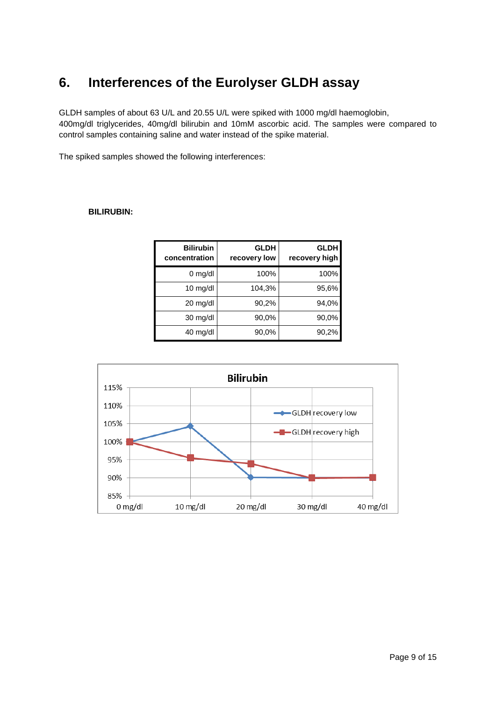### **6. Interferences of the Eurolyser GLDH assay**

GLDH samples of about 63 U/L and 20.55 U/L were spiked with 1000 mg/dl haemoglobin, 400mg/dl triglycerides, 40mg/dl bilirubin and 10mM ascorbic acid. The samples were compared to control samples containing saline and water instead of the spike material.

The spiked samples showed the following interferences:

#### **BILIRUBIN:**

| <b>Bilirubin</b><br>concentration | <b>GLDH</b><br>recovery low | <b>GLDH</b><br>recovery high |
|-----------------------------------|-----------------------------|------------------------------|
| $0$ mg/dl                         | 100%                        | 100%                         |
| $10 \text{ mg/dl}$                | 104,3%                      | 95,6%                        |
| 20 mg/dl                          | 90,2%                       | 94,0%                        |
| $30 \text{ mg/dl}$                | 90,0%                       | 90,0%                        |
| 40 mg/dl                          | 90,0%                       | 90,2%                        |

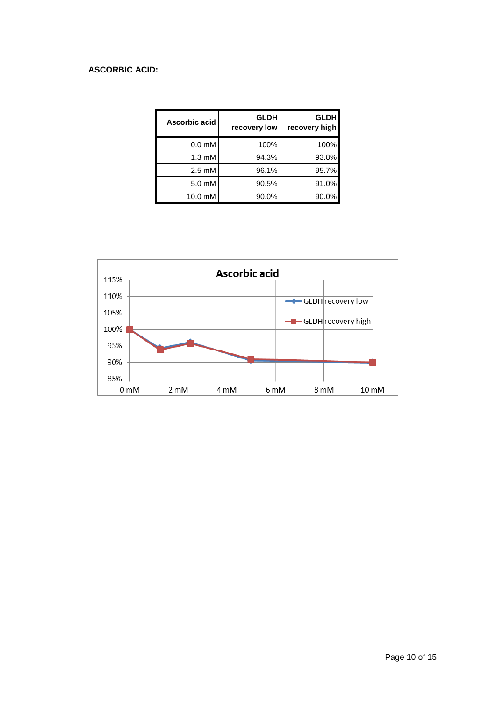### **ASCORBIC ACID:**

| Ascorbic acid      | <b>GLDH</b><br>recovery low | <b>GLDH</b><br>recovery high |
|--------------------|-----------------------------|------------------------------|
| 0.0 <sub>m</sub> M | 100%                        | 100%                         |
| $1.3 \text{ mM}$   | 94.3%                       | 93.8%                        |
| $2.5 \text{ mM}$   | 96.1%                       | 95.7%                        |
| 5.0 mM             | 90.5%                       | 91.0%                        |
| $10.0 \text{ mM}$  | 90.0%                       | 90.0%                        |

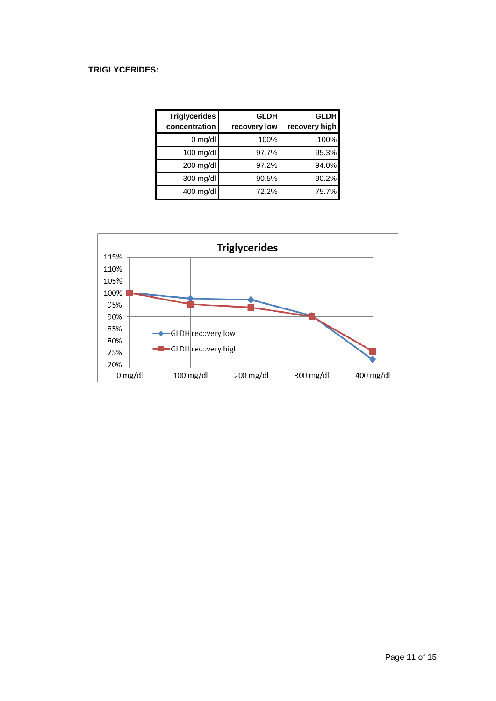### **TRIGLYCERIDES:**

| <b>Triglycerides</b><br>concentration | <b>GLDH</b><br>recovery low | <b>GLDH</b><br>recovery high |
|---------------------------------------|-----------------------------|------------------------------|
| $0$ mg/dl                             | 100%                        | 100%                         |
| $100$ mg/dl                           | 97.7%                       | 95.3%                        |
| 200 mg/dl                             | 97.2%                       | 94.0%                        |
| $300$ mg/dl                           | 90.5%                       | 90.2%                        |
| $400$ mg/dl                           | 72.2%                       | 75.7%                        |

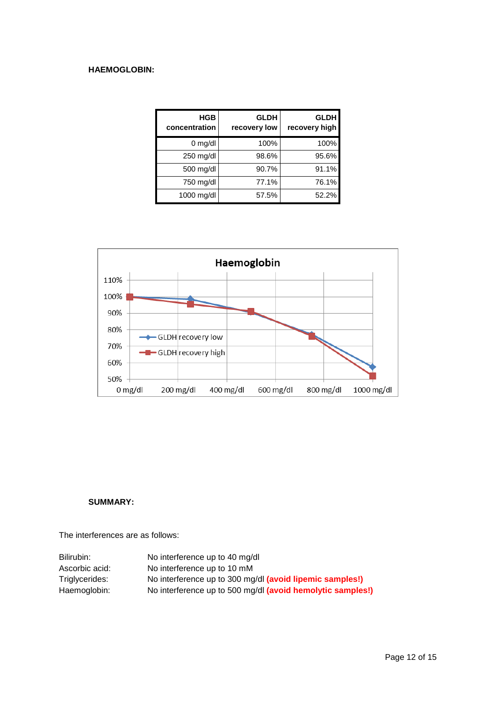### **HAEMOGLOBIN:**

| <b>HGB</b><br>concentration | <b>GLDH</b><br>recovery low | <b>GLDH</b><br>recovery high |
|-----------------------------|-----------------------------|------------------------------|
| $0$ mg/dl                   | 100%                        | 100%                         |
| 250 mg/dl                   | 98.6%                       | 95.6%                        |
| 500 mg/dl                   | 90.7%                       | 91.1%                        |
| 750 mg/dl                   | 77.1%                       | 76.1%                        |
| 1000 mg/dl                  | 57.5%                       | 52.2%                        |



#### **SUMMARY:**

The interferences are as follows:

| Bilirubin:     | No interference up to 40 mg/dl                             |
|----------------|------------------------------------------------------------|
| Ascorbic acid: | No interference up to 10 mM                                |
| Triglycerides: | No interference up to 300 mg/dl (avoid lipemic samples!)   |
| Haemoglobin:   | No interference up to 500 mg/dl (avoid hemolytic samples!) |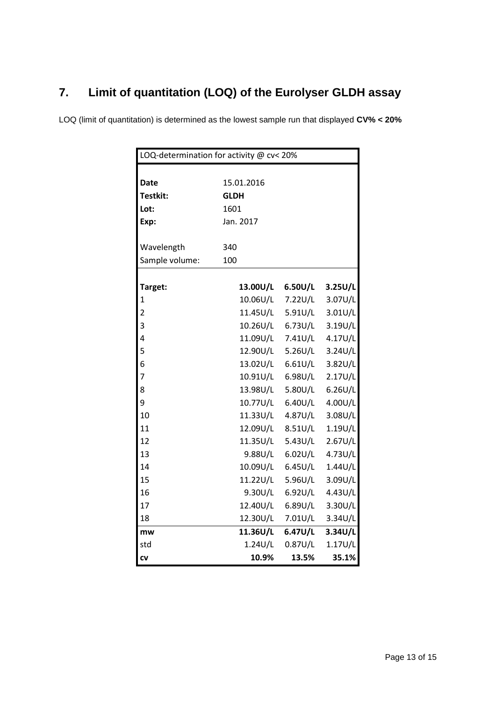### **7. Limit of quantitation (LOQ) of the Eurolyser GLDH assay**

LOQ (limit of quantitation) is determined as the lowest sample run that displayed **CV% < 20%**

| LOQ-determination for activity @ cv< 20% |             |            |            |  |
|------------------------------------------|-------------|------------|------------|--|
|                                          |             |            |            |  |
| Date                                     | 15.01.2016  |            |            |  |
| Testkit:                                 | <b>GLDH</b> |            |            |  |
| Lot:                                     | 1601        |            |            |  |
| Exp:                                     | Jan. 2017   |            |            |  |
|                                          |             |            |            |  |
| Wavelength                               | 340         |            |            |  |
| Sample volume:                           | 100         |            |            |  |
|                                          |             |            |            |  |
| Target:                                  | 13.00U/L    | 6.50U/L    | 3.25U/L    |  |
| 1                                        | 10.06U/L    | 7.22U/L    | 3.07U/L    |  |
| $\overline{2}$                           | 11.45U/L    | 5.91U/L    | $3.01$ U/L |  |
| 3                                        | 10.26U/L    | 6.73U/L    | 3.19U/L    |  |
| 4                                        | 11.09U/L    | 7.41U/L    | 4.17U/L    |  |
| 5                                        | 12.90U/L    | 5.26U/L    | 3.24U/L    |  |
| 6                                        | 13.02U/L    | $6.61$ U/L | 3.82U/L    |  |
| 7                                        | 10.91U/L    | 6.98U/L    | 2.17U/L    |  |
| 8                                        | 13.98U/L    | 5.80U/L    | $6.26$ U/L |  |
| 9                                        | 10.77U/L    | 6.40U/L    | 4.00U/L    |  |
| 10                                       | 11.33U/L    | 4.87U/L    | 3.08U/L    |  |
| 11                                       | 12.09U/L    | 8.51U/L    | 1.19U/L    |  |
| 12                                       | 11.35U/L    | 5.43U/L    | 2.67U/L    |  |
| 13                                       | 9.88U/L     | $6.02$ U/L | 4.73U/L    |  |
| 14                                       | 10.09U/L    | 6.45U/L    | 1.44U/L    |  |
| 15                                       | 11.22U/L    | 5.96U/L    | 3.09U/L    |  |
| 16                                       | 9.30U/L     | 6.92U/L    | 4.43U/L    |  |
| 17                                       | 12.40U/L    | 6.89U/L    | 3.30U/L    |  |
| 18                                       | 12.30U/L    | 7.01U/L    | 3.34U/L    |  |
| mw                                       | 11.36U/L    | $6.47$ U/L | 3.34U/L    |  |
| std                                      | 1.24U/L     | $0.87$ U/L | 1.17U/L    |  |
| CV                                       | 10.9%       | 13.5%      | 35.1%      |  |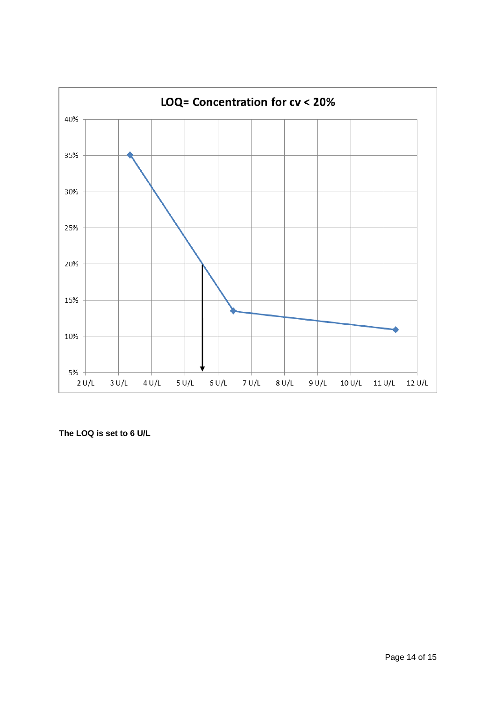

**The LOQ is set to 6 U/L**